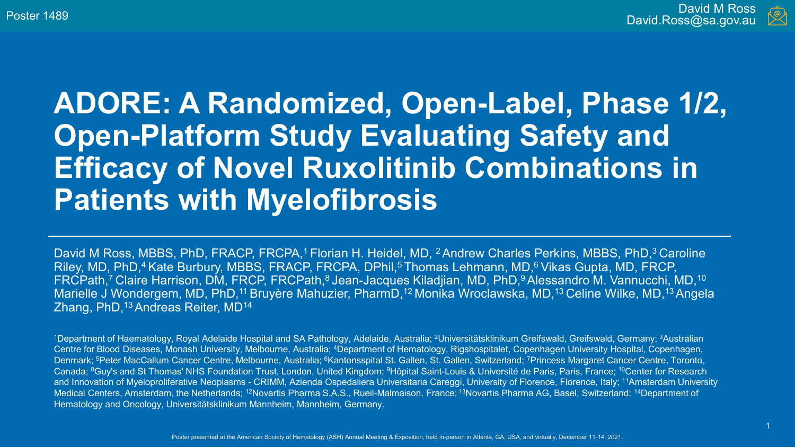

### **ADORE: A Randomized, Open-Label, Phase 1/2, Open-Platform Study Evaluating Safety and Efficacy of Novel Ruxolitinib Combinations in Patients with Myelofibrosis**

David M Ross, MBBS, PhD, FRACP, FRCPA,<sup>1</sup> Florian H. Heidel, MD, <sup>2</sup> Andrew Charles Perkins, MBBS, PhD,<sup>3</sup> Caroline Riley, MD, PhD,<sup>4</sup> Kate Burbury, MBBS, FRACP, FRCPA, DPhil,<sup>5</sup> Thomas Lehmann, MD,<sup>6</sup> Vikas Gupta, MD, FRCP, FRCPath,<sup>7</sup> Claire Harrison, DM, FRCP, FRCPath,<sup>8</sup> Jean-Jacques Kiladjian, MD, PhD,<sup>9</sup> Alessandro M. Vannucchi, MD,<sup>10</sup> Marielle J Wondergem, MD, PhD,<sup>11</sup> Bruyère Mahuzier, PharmD,<sup>12</sup> Monika Wroclawska, MD,<sup>13</sup> Celine Wilke, MD,<sup>13</sup> Angela Zhang, PhD,<sup>13</sup> Andreas Reiter, MD<sup>14</sup>

<sup>1</sup>Department of Haematology, Royal Adelaide Hospital and SA Pathology, Adelaide, Australia; <sup>2</sup>Universitätsklinikum Greifswald, Greifswald, Germany; <sup>3</sup>Australian Centre for Blood Diseases, Monash University, Melbourne, Australia; 4Department of Hematology, Rigshospitalet, Copenhagen University Hospital, Copenhagen, Denmark; <sup>5</sup>Peter MacCallum Cancer Centre, Melbourne, Australia; <sup>6</sup>Kantonsspital St. Gallen, St. Gallen, Switzerland; <sup>7</sup>Princess Margaret Cancer Centre, Toronto, Canada; 8Guy's and St Thomas' NHS Foundation Trust, London, United Kingdom; 9Hôpital Saint-Louis & Université de Paris, Paris, France; 10Center for Research and Innovation of Myeloproliferative Neoplasms - CRIMM, Azienda Ospedaliera Universitaria Careggi, University of Florence, Florence, Italy; <sup>11</sup>Amsterdam University Medical Centers, Amsterdam, the Netherlands; <sup>12</sup>Novartis Pharma S.A.S., Rueil-Malmaison, France; <sup>13</sup>Novartis Pharma AG, Basel, Switzerland; <sup>14</sup>Department of Hematology and Oncology, Universitätsklinikum Mannheim, Mannheim, Germany.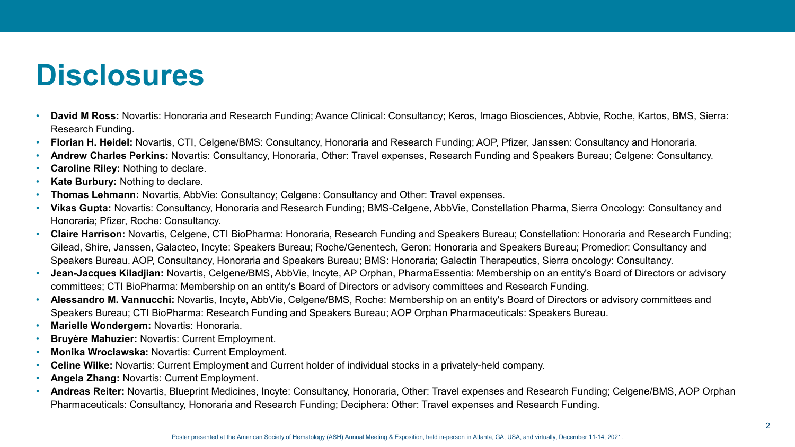### **Disclosures**

- **David M Ross:** Novartis: Honoraria and Research Funding; Avance Clinical: Consultancy; Keros, Imago Biosciences, Abbvie, Roche, Kartos, BMS, Sierra: Research Funding.
- **Florian H. Heidel:** Novartis, CTI, Celgene/BMS: Consultancy, Honoraria and Research Funding; AOP, Pfizer, Janssen: Consultancy and Honoraria.
- **Andrew Charles Perkins:** Novartis: Consultancy, Honoraria, Other: Travel expenses, Research Funding and Speakers Bureau; Celgene: Consultancy.
- **Caroline Riley:** Nothing to declare.
- **Kate Burbury:** Nothing to declare.
- **Thomas Lehmann:** Novartis, AbbVie: Consultancy; Celgene: Consultancy and Other: Travel expenses.
- **Vikas Gupta:** Novartis: Consultancy, Honoraria and Research Funding; BMS-Celgene, AbbVie, Constellation Pharma, Sierra Oncology: Consultancy and Honoraria; Pfizer, Roche: Consultancy.
- **Claire Harrison:** Novartis, Celgene, CTI BioPharma: Honoraria, Research Funding and Speakers Bureau; Constellation: Honoraria and Research Funding; Gilead, Shire, Janssen, Galacteo, Incyte: Speakers Bureau; Roche/Genentech, Geron: Honoraria and Speakers Bureau; Promedior: Consultancy and Speakers Bureau. AOP, Consultancy, Honoraria and Speakers Bureau; BMS: Honoraria; Galectin Therapeutics, Sierra oncology: Consultancy.
- **Jean-Jacques Kiladjian:** Novartis, Celgene/BMS, AbbVie, Incyte, AP Orphan, PharmaEssentia: Membership on an entity's Board of Directors or advisory committees; CTI BioPharma: Membership on an entity's Board of Directors or advisory committees and Research Funding.
- **Alessandro M. Vannucchi:** Novartis, Incyte, AbbVie, Celgene/BMS, Roche: Membership on an entity's Board of Directors or advisory committees and Speakers Bureau; CTI BioPharma: Research Funding and Speakers Bureau; AOP Orphan Pharmaceuticals: Speakers Bureau.
- **Marielle Wondergem:** Novartis: Honoraria.
- **Bruyère Mahuzier:** Novartis: Current Employment.
- **Monika Wroclawska:** Novartis: Current Employment.
- **Celine Wilke:** Novartis: Current Employment and Current holder of individual stocks in a privately-held company.
- **Angela Zhang:** Novartis: Current Employment.
- **Andreas Reiter:** Novartis, Blueprint Medicines, Incyte: Consultancy, Honoraria, Other: Travel expenses and Research Funding; Celgene/BMS, AOP Orphan Pharmaceuticals: Consultancy, Honoraria and Research Funding; Deciphera: Other: Travel expenses and Research Funding.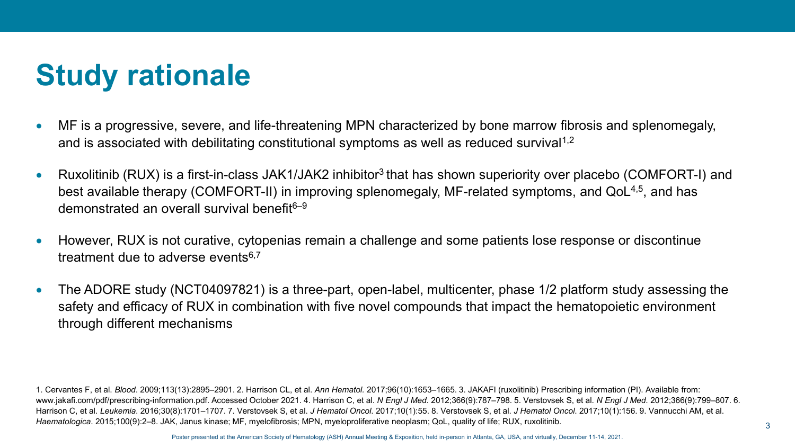# **Study rationale**

- MF is a progressive, severe, and life-threatening MPN characterized by bone marrow fibrosis and splenomegaly, and is associated with debilitating constitutional symptoms as well as reduced survival<sup>1,2</sup>
- Ruxolitinib (RUX) is a first-in-class JAK1/JAK2 inhibitor<sup>3</sup> that has shown superiority over placebo (COMFORT-I) and best available therapy (COMFORT-II) in improving splenomegaly, MF-related symptoms, and QoL<sup>4,5</sup>, and has demonstrated an overall survival benefit6–9
- However, RUX is not curative, cytopenias remain a challenge and some patients lose response or discontinue treatment due to adverse events $6,7$
- The ADORE study (NCT04097821) is a three-part, open-label, multicenter, phase 1/2 platform study assessing the safety and efficacy of RUX in combination with five novel compounds that impact the hematopoietic environment through different mechanisms

1. Cervantes F, et al. *Blood*. 2009;113(13):2895–2901. 2. Harrison CL, et al. *Ann Hematol.* 2017;96(10):1653–1665. 3. JAKAFI (ruxolitinib) Prescribing information (PI). Available from: www.jakafi.com/pdf/prescribing-information.pdf. Accessed October 2021. 4. Harrison C, et al. *N Engl J Med*. 2012;366(9):787–798. 5. Verstovsek S, et al. *N Engl J Med*. 2012;366(9):799–807. 6. Harrison C, et al. *Leukemia*. 2016;30(8):1701–1707. 7. Verstovsek S, et al. *J Hematol Oncol*. 2017;10(1):55. 8. Verstovsek S, et al. *J Hematol Oncol*. 2017;10(1):156. 9. Vannucchi AM, et al. *Haematologica*. 2015;100(9):2–8. JAK, Janus kinase; MF, myelofibrosis; MPN, myeloproliferative neoplasm; QoL, quality of life; RUX, ruxolitinib.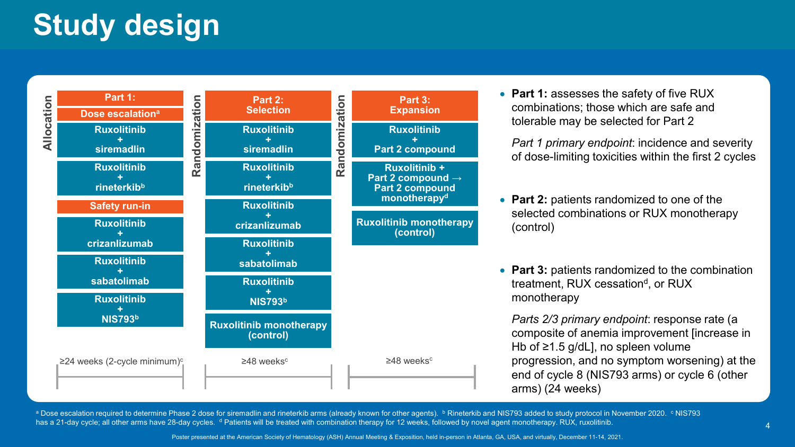# **Study design**



• **Part 1:** assesses the safety of five RUX combinations; those which are safe and tolerable may be selected for Part 2

*Part 1 primary endpoint*: incidence and severity of dose-limiting toxicities within the first 2 cycles

- **Part 2:** patients randomized to one of the selected combinations or RUX monotherapy (control)
- **Part 3:** patients randomized to the combination treatment, RUX cessation<sup>d</sup>, or RUX monotherapy

*Parts 2/3 primary endpoint*: response rate (a composite of anemia improvement [increase in Hb of ≥1.5 g/dL], no spleen volume progression, and no symptom worsening) at the end of cycle 8 (NIS793 arms) or cycle 6 (other arms) (24 weeks)

a Dose escalation required to determine Phase 2 dose for siremadlin and rineterkib arms (already known for other agents). **b** Rineterkib and NIS793 added to study protocol in November 2020. <sup>c</sup> NIS793 has a 21-day cycle; all other arms have 28-day cycles. <sup>d</sup> Patients will be treated with combination therapy for 12 weeks, followed by novel agent monotherapy. RUX, ruxolitinib.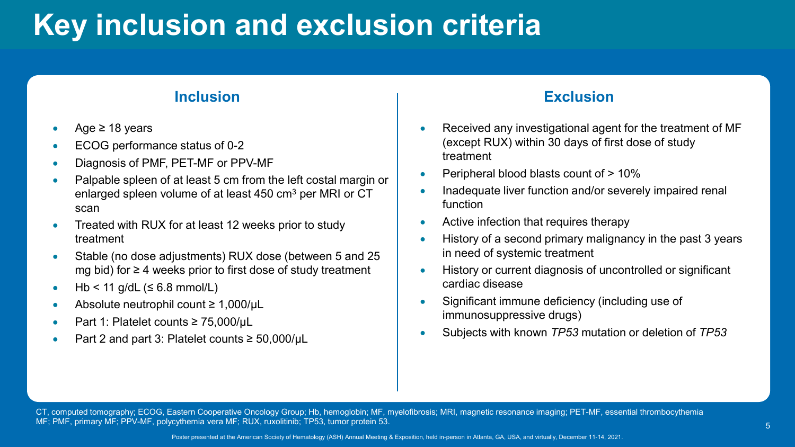# **Key inclusion and exclusion criteria**

- Age  $\geq$  18 years
- ECOG performance status of 0-2
- Diagnosis of PMF, PET-MF or PPV-MF
- Palpable spleen of at least 5 cm from the left costal margin or enlarged spleen volume of at least 450 cm<sup>3</sup> per MRI or CT scan
- Treated with RUX for at least 12 weeks prior to study treatment
- Stable (no dose adjustments) RUX dose (between 5 and 25 mg bid) for ≥ 4 weeks prior to first dose of study treatment
- $Hb < 11$  g/dL ( $\leq 6.8$  mmol/L)
- Absolute neutrophil count ≥ 1,000/μL
- Part 1: Platelet counts ≥ 75,000/μL
- Part 2 and part 3: Platelet counts ≥ 50,000/uL

#### **Inclusion Exclusion**

- Received any investigational agent for the treatment of MF (except RUX) within 30 days of first dose of study treatment
- Peripheral blood blasts count of > 10%
- Inadequate liver function and/or severely impaired renal function
- Active infection that requires therapy
- History of a second primary malignancy in the past 3 years in need of systemic treatment
- History or current diagnosis of uncontrolled or significant cardiac disease
- Significant immune deficiency (including use of immunosuppressive drugs)
- Subjects with known *TP53* mutation or deletion of *TP53*

CT, computed tomography; ECOG, Eastern Cooperative Oncology Group; Hb, hemoglobin; MF, myelofibrosis; MRI, magnetic resonance imaging; PET-MF, essential thrombocythemia MF; PMF, primary MF; PPV-MF, polycythemia vera MF; RUX, ruxolitinib; TP53, tumor protein 53.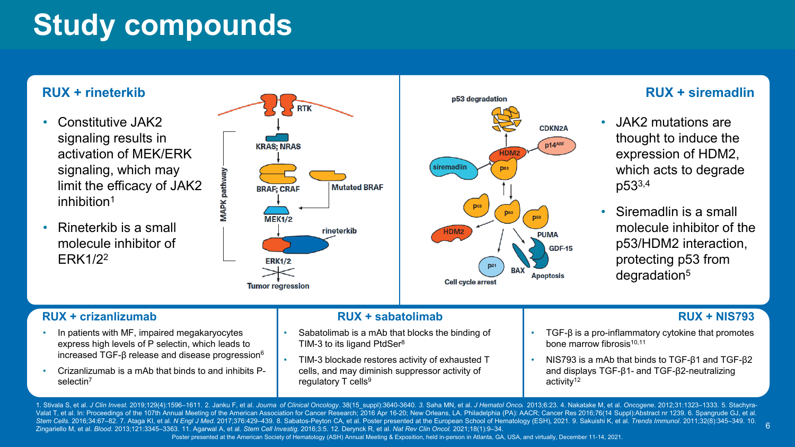## **Study compounds**

#### **RUX + rineterkib**

- Constitutive JAK2 signaling results in activation of MEK/ERK signaling, which may limit the efficacy of JAK2 inhibition<sup>1</sup>
- Rineterkib is a small molecule inhibitor of ERK1/22



### **RUX + siremadlin**

• JAK2 mutations are thought to induce the expression of HDM2, which acts to degrade p533,4

**CDKN2A** 

p14ARF

**PUMA** 

**Apoptosis** 

**GDF-15** 

HDM:

**RAY** 

• Siremadlin is a small molecule inhibitor of the p53/HDM2 interaction, protecting p53 from degradation5

- In patients with MF, impaired megakaryocytes express high levels of P selectin, which leads to increased TGF-β release and disease progression $6$
- Crizanlizumab is a mAb that binds to and inhibits Pselectin<sup>7</sup>

#### **RUX + crizanlizumab RUX + sabatolimab RUX + NIS793**

- Sabatolimab is a mAb that blocks the binding of TIM-3 to its ligand PtdSer<sup>8</sup>
- TIM-3 blockade restores activity of exhausted T cells, and may diminish suppressor activity of regulatory  $T$  cells<sup>9</sup>

6

- TGF- $β$  is a pro-inflammatory cytokine that promotes bone marrow fibrosis10,11
- NIS793 is a mAb that binds to TGF-β1 and TGF-β2 and displays TGF-β1- and TGF-β2-neutralizing activity<sup>12</sup>

Poster presented at the American Society of Hematology (ASH) Annual Meeting & Exposition, held in-person in Atlanta, GA, USA, and virtually, December 11-14, 2021. 1. Stivala S, et al. *J Clin Invest.* 2019;129(4):1596–1611. 2. Janku F, et al. *Journa of Clinical Oncology.* 38(15\_suppl):3640-3640. 3. Saha MN, et al. *J Hematol Onco*l. 2013;6:23. 4. Nakatake M, et al. *Oncogene*. 2012 Valat T, et al. In: Proceedings of the 107th Annual Meeting of the American Association for Cancer Research; 2016 Apr 16-20; New Orleans, LA. Philadelphia (PA): AACR; Cancer Res 2016;76(14 Suppl): Abstract nr 1239. 6. Span Stem Cells. 2016;34:67-82. 7. Ataga KI, et al. N Engl J Med. 2017;376:429-439. 8. Sabatos-Peyton CA, et al. Poster presented at the European School of Hematology (ESH), 2021. 9. Sakuishi K, et al. Trends Immunol. 2011;32(8 Zingariello M, et al. *Blood.* 2013;121:3345–3363. 11. Agarwal A, et al. *Stem Cell Investig*. 2016;3:5. 12. Derynck R, et al. *Nat Rev Clin Oncol.* 2021;18(1):9–34.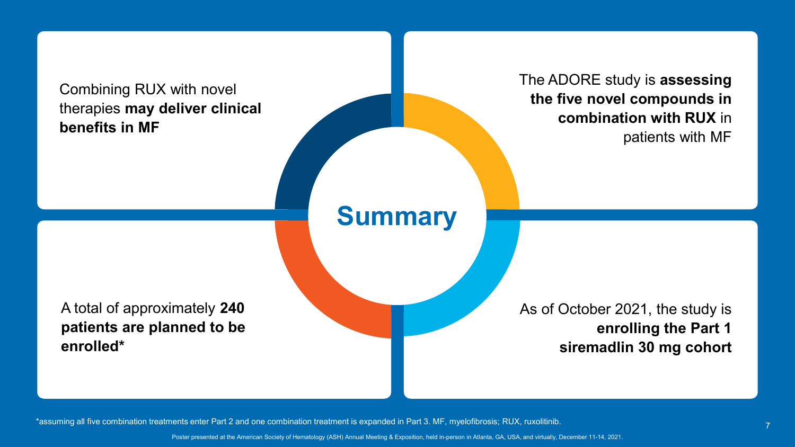Combining RUX with novel therapies **may deliver clinical benefits in MF**

The ADORE study is **assessing the five novel compounds in combination with RUX** in patients with MF

### **Summary**

A total of approximately **240 patients are planned to be enrolled\***

As of October 2021, the study is **enrolling the Part 1 siremadlin 30 mg cohort** 

\*assuming all five combination treatments enter Part 2 and one combination treatment is expanded in Part 3. MF, myelofibrosis; RUX, ruxolitinib.